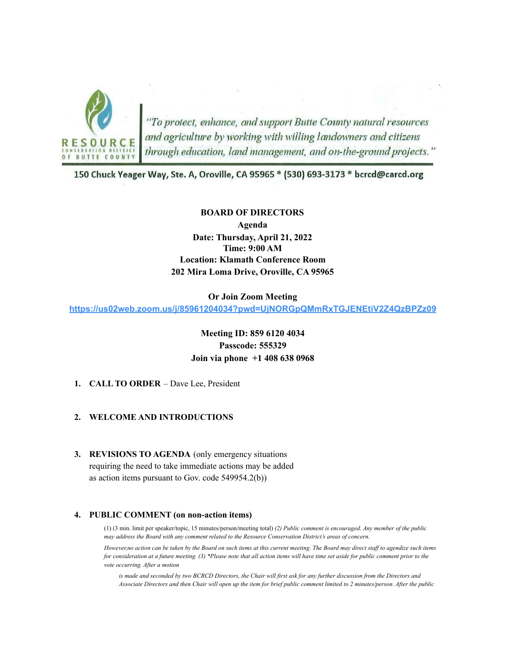

"To protect, enhance, and support Butte County natural resources<br>and agriculture by working with willing landowners and citizens<br>through education, land management, and on-the-ground projects."

150 Chuck Yeager Way, Ste. A, Oroville, CA 95965 \* (530) 693-3173 \* bcrcd@carcd.org

#### **BOARD OF DIRECTORS**

**Agenda Date: Thursday, April 21, 2022 Time: 9:00 AM Location: Klamath Conference Room 202 Mira Loma Drive, Oroville, CA 95965**

#### **Or Join Zoom Meeting**

**<https://us02web.zoom.us/j/85961204034?pwd=UjNORGpQMmRxTGJENEtiV2Z4QzBPZz09>**

**Meeting ID: 859 6120 4034 Passcode: 555329 Join via phone +1 408 638 0968**

**1. CALL TO ORDER** – Dave Lee, President

### **2. WELCOME AND INTRODUCTIONS**

**3. REVISIONS TO AGENDA** (only emergency situations requiring the need to take immediate actions may be added as action items pursuant to Gov. code 549954.2(b))

### **4. PUBLIC COMMENT (on non-action items)**

(1) (3 min. limit per speaker/topic, 15 minutes/person/meeting total) *(2) Public comment is encouraged. Any member of the public may address the Board with any comment related to the Resource Conservation District's areas of concern.*

*However,no action can be taken by the Board on such items at this current meeting. The Board may direct staff to agendize such items for consideration at a future meeting. (3) \*Please note that all action items will have time set aside for public comment prior to the vote occurring. After a motion*

*is made and seconded by two BCRCD Directors, the Chair will first ask for any further discussion from the Directors and Associate Directors and then Chair will open up the item for brief public comment limited to 2 minutes/person. After the public*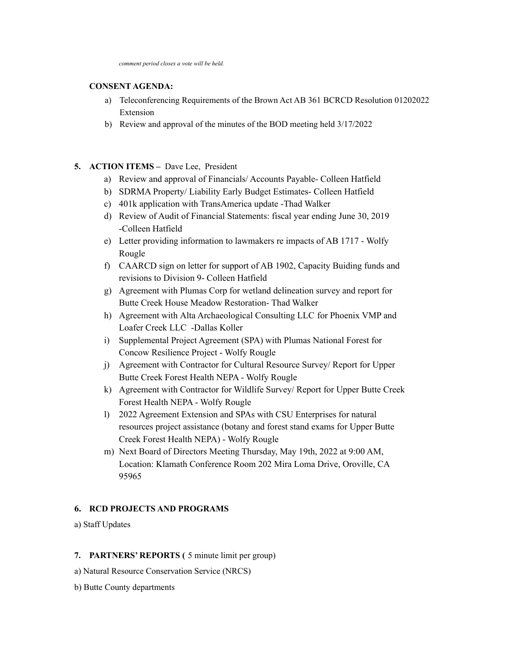## **CONSENT AGENDA:**

- a) Teleconferencing Requirements of the Brown Act AB 361 BCRCD Resolution 01202022 Extension
- b) Review and approval of the minutes of the BOD meeting held 3/17/2022

# **5. ACTION ITEMS –** Dave Lee, President

- a) Review and approval of Financials/ Accounts Payable- Colleen Hatfield
- b) SDRMA Property/ Liability Early Budget Estimates- Colleen Hatfield
- c) 401k application with TransAmerica update -Thad Walker
- d) Review of Audit of Financial Statements: fiscal year ending June 30, 2019 -Colleen Hatfield
- e) Letter providing information to lawmakers re impacts of AB 1717 Wolfy Rougle
- f) CAARCD sign on letter for support of AB 1902, Capacity Buiding funds and revisions to Division 9- Colleen Hatfield
- g) Agreement with Plumas Corp for wetland delineation survey and report for Butte Creek House Meadow Restoration- Thad Walker
- h) Agreement with Alta Archaeological Consulting LLC for Phoenix VMP and Loafer Creek LLC -Dallas Koller
- i) Supplemental Project Agreement (SPA) with Plumas National Forest for Concow Resilience Project - Wolfy Rougle
- j) Agreement with Contractor for Cultural Resource Survey/ Report for Upper Butte Creek Forest Health NEPA - Wolfy Rougle
- k) Agreement with Contractor for Wildlife Survey/ Report for Upper Butte Creek Forest Health NEPA - Wolfy Rougle
- l) 2022 Agreement Extension and SPAs with CSU Enterprises for natural resources project assistance (botany and forest stand exams for Upper Butte Creek Forest Health NEPA) - Wolfy Rougle
- m) Next Board of Directors Meeting Thursday, May 19th, 2022 at 9:00 AM, Location: Klamath Conference Room 202 Mira Loma Drive, Oroville, CA 95965

# **6. RCD PROJECTS AND PROGRAMS**

a) Staff Updates

# **7. PARTNERS' REPORTS (** 5 minute limit per group)

- a) Natural Resource Conservation Service (NRCS)
- b) Butte County departments